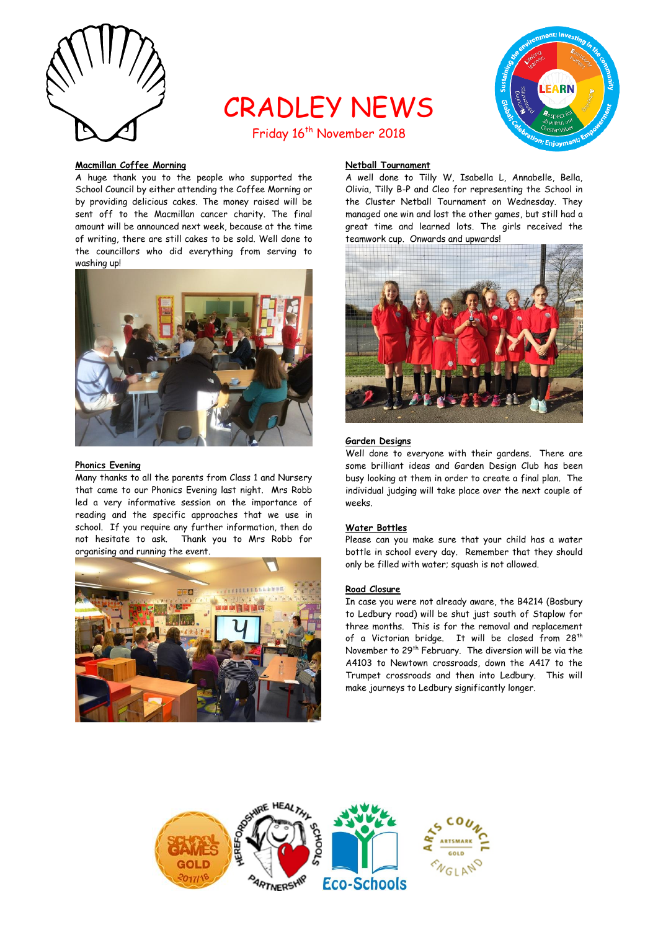

# CRADLEY NEWS



## Friday 16<sup>th</sup> November 2018

#### **Macmillan Coffee Morning**

A huge thank you to the people who supported the School Council by either attending the Coffee Morning or by providing delicious cakes. The money raised will be sent off to the Macmillan cancer charity. The final amount will be announced next week, because at the time of writing, there are still cakes to be sold. Well done to the councillors who did everything from serving to washing up!



#### **Phonics Evening**

Many thanks to all the parents from Class 1 and Nursery that came to our Phonics Evening last night. Mrs Robb led a very informative session on the importance of reading and the specific approaches that we use in school. If you require any further information, then do not hesitate to ask. Thank you to Mrs Robb for organising and running the event.



## **Netball Tournament**

A well done to Tilly W, Isabella L, Annabelle, Bella, Olivia, Tilly B-P and Cleo for representing the School in the Cluster Netball Tournament on Wednesday. They managed one win and lost the other games, but still had a great time and learned lots. The girls received the teamwork cup. Onwards and upwards!



#### **Garden Designs**

Well done to everyone with their gardens. There are some brilliant ideas and Garden Design Club has been busy looking at them in order to create a final plan. The individual judging will take place over the next couple of weeks.

## **Water Bottles**

Please can you make sure that your child has a water bottle in school every day. Remember that they should only be filled with water; squash is not allowed.

#### **Road Closure**

In case you were not already aware, the B4214 (Bosbury to Ledbury road) will be shut just south of Staplow for three months. This is for the removal and replacement of a Victorian bridge. It will be closed from 28<sup>th</sup> November to 29th February. The diversion will be via the A4103 to Newtown crossroads, down the A417 to the Trumpet crossroads and then into Ledbury. This will make journeys to Ledbury significantly longer.

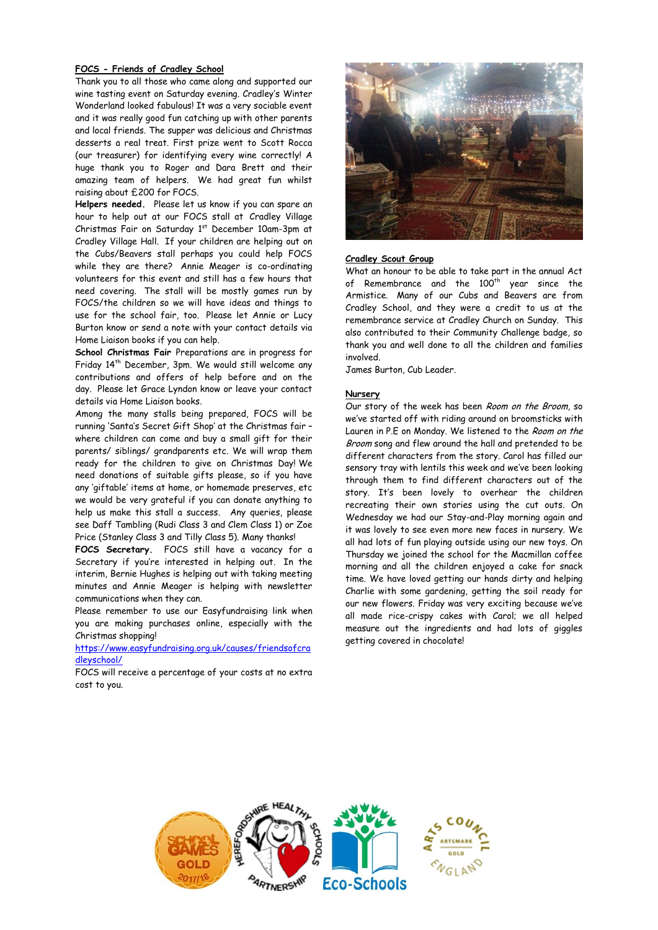## **FOCS - Friends of Cradley School**

Thank you to all those who came along and supported our wine tasting event on Saturday evening. Cradley's Winter Wonderland looked fabulous! It was a very sociable event and it was really good fun catching up with other parents and local friends. The supper was delicious and Christmas desserts a real treat. First prize went to Scott Rocca (our treasurer) for identifying every wine correctly! A huge thank you to Roger and Dara Brett and their amazing team of helpers. We had great fun whilst raising about £200 for FOCS.

**Helpers needed.** Please let us know if you can spare an hour to help out at our FOCS stall at Cradley Village Christmas Fair on Saturday 1st December 10am-3pm at Cradley Village Hall. If your children are helping out on the Cubs/Beavers stall perhaps you could help FOCS while they are there? Annie Meager is co-ordinating volunteers for this event and still has a few hours that need covering. The stall will be mostly games run by FOCS/the children so we will have ideas and things to use for the school fair, too. Please let Annie or Lucy Burton know or send a note with your contact details via Home Liaison books if you can help.

**School Christmas Fair** Preparations are in progress for Friday 14th December, 3pm. We would still welcome any contributions and offers of help before and on the day. Please let Grace Lyndon know or leave your contact details via Home Liaison books.

Among the many stalls being prepared, FOCS will be running 'Santa's Secret Gift Shop' at the Christmas fair – where children can come and buy a small gift for their parents/ siblings/ grandparents etc. We will wrap them ready for the children to give on Christmas Day! We need donations of suitable gifts please, so if you have any 'giftable' items at home, or homemade preserves, etc we would be very grateful if you can donate anything to help us make this stall a success. Any queries, please see Daff Tambling (Rudi Class 3 and Clem Class 1) or Zoe Price (Stanley Class 3 and Tilly Class 5). Many thanks!

**FOCS Secretary.** FOCS still have a vacancy for a Secretary if you're interested in helping out. In the interim, Bernie Hughes is helping out with taking meeting minutes and Annie Meager is helping with newsletter communications when they can.

Please remember to use our Easyfundraising link when you are making purchases online, especially with the Christmas shopping!

[https://www.easyfundraising.org.uk/causes/friendsofcra](https://www.easyfundraising.org.uk/causes/friendsofcradleyschool/) [dleyschool/](https://www.easyfundraising.org.uk/causes/friendsofcradleyschool/) 

FOCS will receive a percentage of your costs at no extra cost to you.



## **Cradley Scout Group**

What an honour to be able to take part in the annual Act of Remembrance and the 100<sup>th</sup> year since the Armistice. Many of our Cubs and Beavers are from Cradley School, and they were a credit to us at the remembrance service at Cradley Church on Sunday. This also contributed to their Community Challenge badge, so thank you and well done to all the children and families involved.

James Burton, Cub Leader.

#### **Nursery**

Our story of the week has been Room on the Broom, so we've started off with riding around on broomsticks with Lauren in P.E on Monday. We listened to the Room on the Broom song and flew around the hall and pretended to be different characters from the story. Carol has filled our sensory tray with lentils this week and we've been looking through them to find different characters out of the story. It's been lovely to overhear the children recreating their own stories using the cut outs. On Wednesday we had our Stay-and-Play morning again and it was lovely to see even more new faces in nursery. We all had lots of fun playing outside using our new toys. On Thursday we joined the school for the Macmillan coffee morning and all the children enjoyed a cake for snack time. We have loved getting our hands dirty and helping Charlie with some gardening, getting the soil ready for our new flowers. Friday was very exciting because we've all made rice-crispy cakes with Carol; we all helped measure out the ingredients and had lots of giggles getting covered in chocolate!

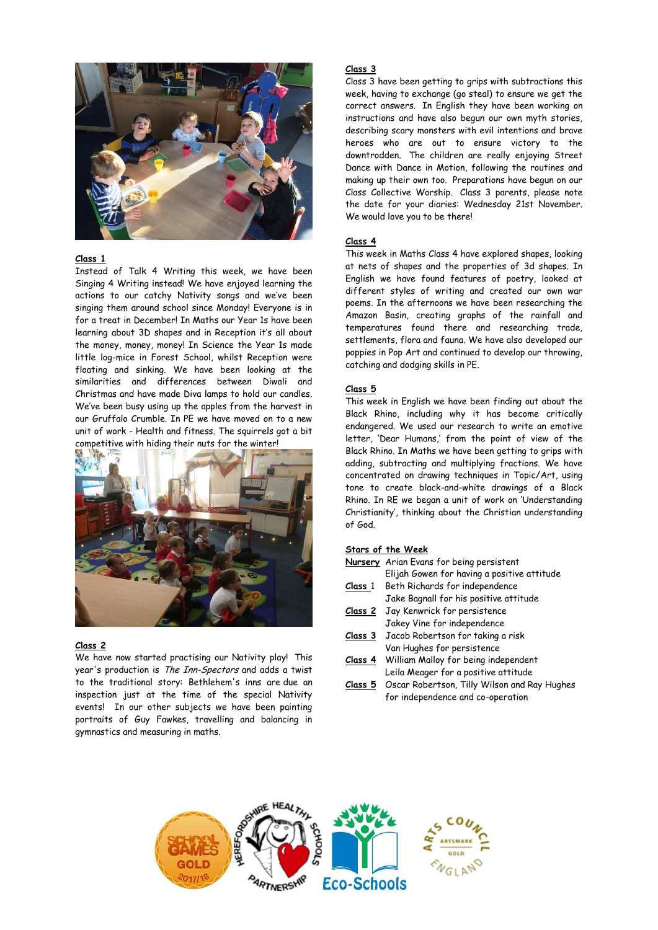

## **Class 1**

Instead of Talk 4 Writing this week, we have been Singing 4 Writing instead! We have enjoyed learning the actions to our catchy Nativity songs and we've been singing them around school since Monday! Everyone is in for a treat in December! In Maths our Year 1s have been learning about 3D shapes and in Reception it's all about the money, money, money! In Science the Year 1s made little log-mice in Forest School, whilst Reception were floating and sinking. We have been looking at the similarities and differences between Diwali and Christmas and have made Diva lamps to hold our candles. We've been busy using up the apples from the harvest in our Gruffalo Crumble. In PE we have moved on to a new unit of work - Health and fitness. The squirrels got a bit competitive with hiding their nuts for the winter!



#### **Class 2**

We have now started practising our Nativity play! This year's production is The Inn-Spectors and adds a twist to the traditional story: Bethlehem's inns are due an inspection just at the time of the special Nativity events! In our other subjects we have been painting portraits of Guy Fawkes, travelling and balancing in gymnastics and measuring in maths.

## **Class 3**

Class 3 have been getting to grips with subtractions this week, having to exchange (go steal) to ensure we get the correct answers. In English they have been working on instructions and have also begun our own myth stories, describing scary monsters with evil intentions and brave heroes who are out to ensure victory to the downtrodden. The children are really enjoying Street Dance with Dance in Motion, following the routines and making up their own too. Preparations have begun on our Class Collective Worship. Class 3 parents, please note the date for your diaries: Wednesday 21st November. We would love you to be there!

## **Class 4**

This week in Maths Class 4 have explored shapes, looking at nets of shapes and the properties of 3d shapes. In English we have found features of poetry, looked at different styles of writing and created our own war poems. In the afternoons we have been researching the Amazon Basin, creating graphs of the rainfall and temperatures found there and researching trade, settlements, flora and fauna. We have also developed our poppies in Pop Art and continued to develop our throwing, catching and dodging skills in PE.

#### **Class 5**

This week in English we have been finding out about the Black Rhino, including why it has become critically endangered. We used our research to write an emotive letter, 'Dear Humans,' from the point of view of the Black Rhino. In Maths we have been getting to grips with adding, subtracting and multiplying fractions. We have concentrated on drawing techniques in Topic/Art, using tone to create black-and-white drawings of a Black Rhino. In RE we began a unit of work on 'Understanding Christianity', thinking about the Christian understanding of God.

#### **Stars of the Week**

- **Nursery** Arian Evans for being persistent Elijah Gowen for having a positive attitude
- **Class** 1 Beth Richards for independence Jake Bagnall for his positive attitude
- **Class 2** Jay Kenwrick for persistence
- Jakey Vine for independence
- **Class 3** Jacob Robertson for taking a risk Van Hughes for persistence
- **Class 4** William Malloy for being independent Leila Meager for a positive attitude
- **Class 5** Oscar Robertson, Tilly Wilson and Ray Hughes for independence and co-operation